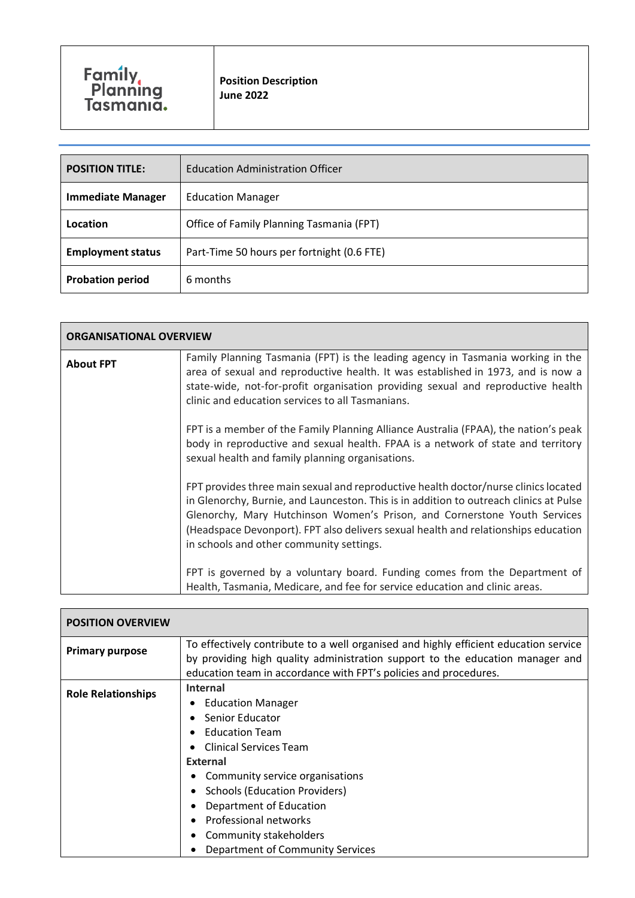| <b>POSITION TITLE:</b>   | <b>Education Administration Officer</b>    |
|--------------------------|--------------------------------------------|
| <b>Immediate Manager</b> | <b>Education Manager</b>                   |
| Location                 | Office of Family Planning Tasmania (FPT)   |
| <b>Employment status</b> | Part-Time 50 hours per fortnight (0.6 FTE) |
| <b>Probation period</b>  | 6 months                                   |

| <b>ORGANISATIONAL OVERVIEW</b> |                                                                                                                                                                                                                                                                                                                                                                                              |
|--------------------------------|----------------------------------------------------------------------------------------------------------------------------------------------------------------------------------------------------------------------------------------------------------------------------------------------------------------------------------------------------------------------------------------------|
| <b>About FPT</b>               | Family Planning Tasmania (FPT) is the leading agency in Tasmania working in the<br>area of sexual and reproductive health. It was established in 1973, and is now a<br>state-wide, not-for-profit organisation providing sexual and reproductive health<br>clinic and education services to all Tasmanians.                                                                                  |
|                                | FPT is a member of the Family Planning Alliance Australia (FPAA), the nation's peak<br>body in reproductive and sexual health. FPAA is a network of state and territory<br>sexual health and family planning organisations.                                                                                                                                                                  |
|                                | FPT provides three main sexual and reproductive health doctor/nurse clinics located<br>in Glenorchy, Burnie, and Launceston. This is in addition to outreach clinics at Pulse<br>Glenorchy, Mary Hutchinson Women's Prison, and Cornerstone Youth Services<br>(Headspace Devonport). FPT also delivers sexual health and relationships education<br>in schools and other community settings. |
|                                | FPT is governed by a voluntary board. Funding comes from the Department of<br>Health, Tasmania, Medicare, and fee for service education and clinic areas.                                                                                                                                                                                                                                    |

| <b>POSITION OVERVIEW</b>  |                                                                                                                                                                                                                                                                                                                                                 |
|---------------------------|-------------------------------------------------------------------------------------------------------------------------------------------------------------------------------------------------------------------------------------------------------------------------------------------------------------------------------------------------|
| <b>Primary purpose</b>    | To effectively contribute to a well organised and highly efficient education service<br>by providing high quality administration support to the education manager and<br>education team in accordance with FPT's policies and procedures.                                                                                                       |
| <b>Role Relationships</b> | <b>Internal</b><br><b>Education Manager</b><br>Senior Educator<br><b>Education Team</b><br><b>Clinical Services Team</b><br><b>External</b><br>Community service organisations<br><b>Schools (Education Providers)</b><br>Department of Education<br><b>Professional networks</b><br>Community stakeholders<br>Department of Community Services |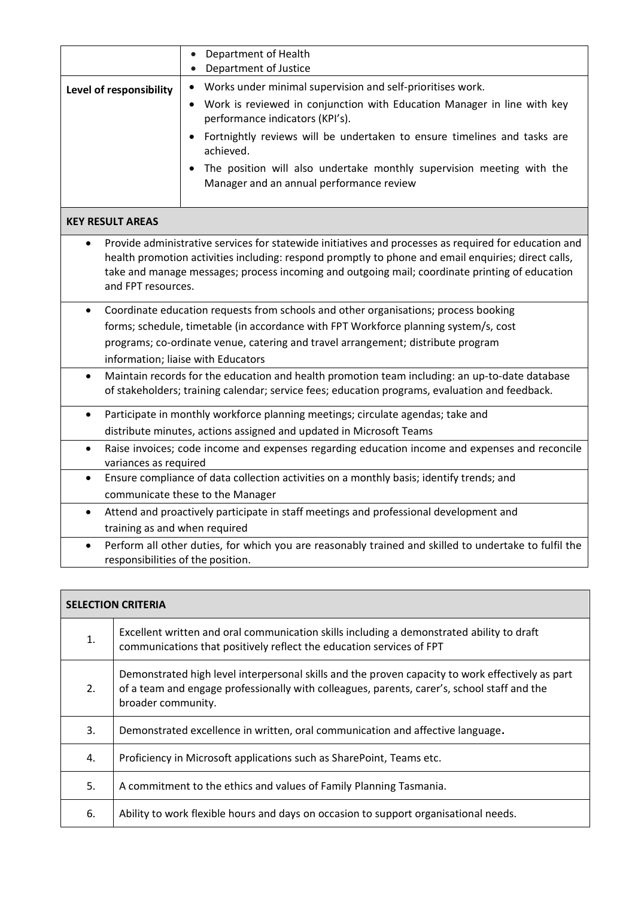|                                 | Department of Health<br>$\bullet$<br>Department of Justice<br>$\bullet$                                                                                                                                                                                                                                        |  |
|---------------------------------|----------------------------------------------------------------------------------------------------------------------------------------------------------------------------------------------------------------------------------------------------------------------------------------------------------------|--|
| Level of responsibility         | Works under minimal supervision and self-prioritises work.<br>$\bullet$<br>Work is reviewed in conjunction with Education Manager in line with key<br>$\bullet$<br>performance indicators (KPI's).<br>Fortnightly reviews will be undertaken to ensure timelines and tasks are<br>$\bullet$<br>achieved.       |  |
|                                 | The position will also undertake monthly supervision meeting with the<br>$\bullet$<br>Manager and an annual performance review                                                                                                                                                                                 |  |
| <b>KEY RESULT AREAS</b>         |                                                                                                                                                                                                                                                                                                                |  |
| $\bullet$<br>and FPT resources. | Provide administrative services for statewide initiatives and processes as required for education and<br>health promotion activities including: respond promptly to phone and email enquiries; direct calls,<br>take and manage messages; process incoming and outgoing mail; coordinate printing of education |  |
| $\bullet$                       | Coordinate education requests from schools and other organisations; process booking                                                                                                                                                                                                                            |  |
|                                 | forms; schedule, timetable (in accordance with FPT Workforce planning system/s, cost                                                                                                                                                                                                                           |  |
|                                 | programs; co-ordinate venue, catering and travel arrangement; distribute program<br>information; liaise with Educators                                                                                                                                                                                         |  |
| $\bullet$                       | Maintain records for the education and health promotion team including: an up-to-date database<br>of stakeholders; training calendar; service fees; education programs, evaluation and feedback.                                                                                                               |  |
| $\bullet$                       | Participate in monthly workforce planning meetings; circulate agendas; take and                                                                                                                                                                                                                                |  |
|                                 | distribute minutes, actions assigned and updated in Microsoft Teams                                                                                                                                                                                                                                            |  |
| $\bullet$                       | Raise invoices; code income and expenses regarding education income and expenses and reconcile<br>variances as required                                                                                                                                                                                        |  |
| $\bullet$                       | Ensure compliance of data collection activities on a monthly basis; identify trends; and                                                                                                                                                                                                                       |  |
|                                 | communicate these to the Manager                                                                                                                                                                                                                                                                               |  |
| $\bullet$                       | Attend and proactively participate in staff meetings and professional development and                                                                                                                                                                                                                          |  |
|                                 | training as and when required                                                                                                                                                                                                                                                                                  |  |
| $\bullet$                       | Perform all other duties, for which you are reasonably trained and skilled to undertake to fulfil the<br>responsibilities of the position.                                                                                                                                                                     |  |

| <b>SELECTION CRITERIA</b> |                                                                                                                                                                                                                       |  |
|---------------------------|-----------------------------------------------------------------------------------------------------------------------------------------------------------------------------------------------------------------------|--|
| 1.                        | Excellent written and oral communication skills including a demonstrated ability to draft<br>communications that positively reflect the education services of FPT                                                     |  |
| 2.                        | Demonstrated high level interpersonal skills and the proven capacity to work effectively as part<br>of a team and engage professionally with colleagues, parents, carer's, school staff and the<br>broader community. |  |
| 3.                        | Demonstrated excellence in written, oral communication and affective language.                                                                                                                                        |  |
| 4.                        | Proficiency in Microsoft applications such as SharePoint, Teams etc.                                                                                                                                                  |  |
| 5.                        | A commitment to the ethics and values of Family Planning Tasmania.                                                                                                                                                    |  |
| 6.                        | Ability to work flexible hours and days on occasion to support organisational needs.                                                                                                                                  |  |